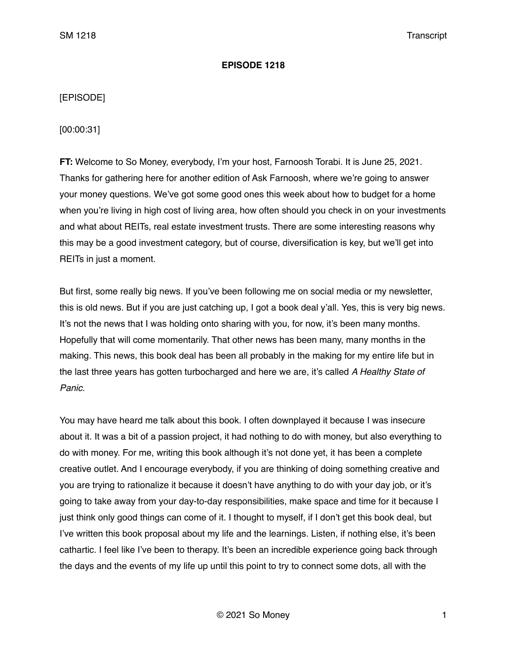### **EPISODE 1218**

# [EPISODE]

[00:00:31]

**FT:** Welcome to So Money, everybody, I'm your host, Farnoosh Torabi. It is June 25, 2021. Thanks for gathering here for another edition of Ask Farnoosh, where we're going to answer your money questions. We've got some good ones this week about how to budget for a home when you're living in high cost of living area, how often should you check in on your investments and what about REITs, real estate investment trusts. There are some interesting reasons why this may be a good investment category, but of course, diversification is key, but we'll get into REITs in just a moment.

But first, some really big news. If you've been following me on social media or my newsletter, this is old news. But if you are just catching up, I got a book deal y'all. Yes, this is very big news. It's not the news that I was holding onto sharing with you, for now, it's been many months. Hopefully that will come momentarily. That other news has been many, many months in the making. This news, this book deal has been all probably in the making for my entire life but in the last three years has gotten turbocharged and here we are, it's called *A Healthy State of Panic.* 

You may have heard me talk about this book. I often downplayed it because I was insecure about it. It was a bit of a passion project, it had nothing to do with money, but also everything to do with money. For me, writing this book although it's not done yet, it has been a complete creative outlet. And I encourage everybody, if you are thinking of doing something creative and you are trying to rationalize it because it doesn't have anything to do with your day job, or it's going to take away from your day-to-day responsibilities, make space and time for it because I just think only good things can come of it. I thought to myself, if I don't get this book deal, but I've written this book proposal about my life and the learnings. Listen, if nothing else, it's been cathartic. I feel like I've been to therapy. It's been an incredible experience going back through the days and the events of my life up until this point to try to connect some dots, all with the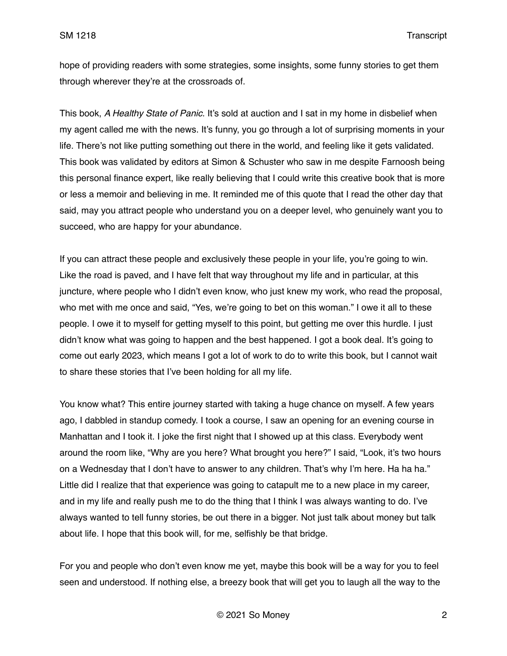hope of providing readers with some strategies, some insights, some funny stories to get them through wherever they're at the crossroads of.

This book, *A Healthy State of Panic.* It's sold at auction and I sat in my home in disbelief when my agent called me with the news. It's funny, you go through a lot of surprising moments in your life. There's not like putting something out there in the world, and feeling like it gets validated. This book was validated by editors at Simon & Schuster who saw in me despite Farnoosh being this personal finance expert, like really believing that I could write this creative book that is more or less a memoir and believing in me. It reminded me of this quote that I read the other day that said, may you attract people who understand you on a deeper level, who genuinely want you to succeed, who are happy for your abundance.

If you can attract these people and exclusively these people in your life, you're going to win. Like the road is paved, and I have felt that way throughout my life and in particular, at this juncture, where people who I didn't even know, who just knew my work, who read the proposal, who met with me once and said, "Yes, we're going to bet on this woman." I owe it all to these people. I owe it to myself for getting myself to this point, but getting me over this hurdle. I just didn't know what was going to happen and the best happened. I got a book deal. It's going to come out early 2023, which means I got a lot of work to do to write this book, but I cannot wait to share these stories that I've been holding for all my life.

You know what? This entire journey started with taking a huge chance on myself. A few years ago, I dabbled in standup comedy. I took a course, I saw an opening for an evening course in Manhattan and I took it. I joke the first night that I showed up at this class. Everybody went around the room like, "Why are you here? What brought you here?" I said, "Look, it's two hours on a Wednesday that I don't have to answer to any children. That's why I'm here. Ha ha ha." Little did I realize that that experience was going to catapult me to a new place in my career, and in my life and really push me to do the thing that I think I was always wanting to do. I've always wanted to tell funny stories, be out there in a bigger. Not just talk about money but talk about life. I hope that this book will, for me, selfishly be that bridge.

For you and people who don't even know me yet, maybe this book will be a way for you to feel seen and understood. If nothing else, a breezy book that will get you to laugh all the way to the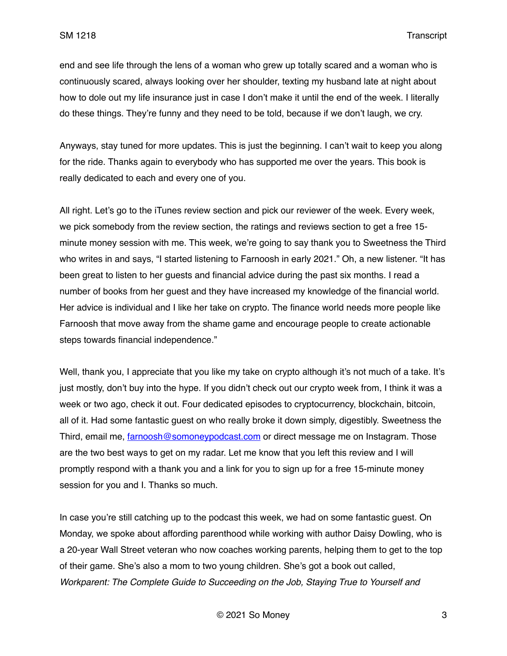end and see life through the lens of a woman who grew up totally scared and a woman who is continuously scared, always looking over her shoulder, texting my husband late at night about how to dole out my life insurance just in case I don't make it until the end of the week. I literally do these things. They're funny and they need to be told, because if we don't laugh, we cry.

Anyways, stay tuned for more updates. This is just the beginning. I can't wait to keep you along for the ride. Thanks again to everybody who has supported me over the years. This book is really dedicated to each and every one of you.

All right. Let's go to the iTunes review section and pick our reviewer of the week. Every week, we pick somebody from the review section, the ratings and reviews section to get a free 15 minute money session with me. This week, we're going to say thank you to Sweetness the Third who writes in and says, "I started listening to Farnoosh in early 2021." Oh, a new listener. "It has been great to listen to her guests and financial advice during the past six months. I read a number of books from her guest and they have increased my knowledge of the financial world. Her advice is individual and I like her take on crypto. The finance world needs more people like Farnoosh that move away from the shame game and encourage people to create actionable steps towards financial independence."

Well, thank you, I appreciate that you like my take on crypto although it's not much of a take. It's just mostly, don't buy into the hype. If you didn't check out our crypto week from, I think it was a week or two ago, check it out. Four dedicated episodes to cryptocurrency, blockchain, bitcoin, all of it. Had some fantastic guest on who really broke it down simply, digestibly. Sweetness the Third, email me, [farnoosh@somoneypodcast.com](mailto:farnoosh@somoneypodcast.com) or direct message me on Instagram. Those are the two best ways to get on my radar. Let me know that you left this review and I will promptly respond with a thank you and a link for you to sign up for a free 15-minute money session for you and I. Thanks so much.

In case you're still catching up to the podcast this week, we had on some fantastic guest. On Monday, we spoke about affording parenthood while working with author Daisy Dowling, who is a 20-year Wall Street veteran who now coaches working parents, helping them to get to the top of their game. She's also a mom to two young children. She's got a book out called, *Workparent: The Complete Guide to Succeeding on the Job, Staying True to Yourself and*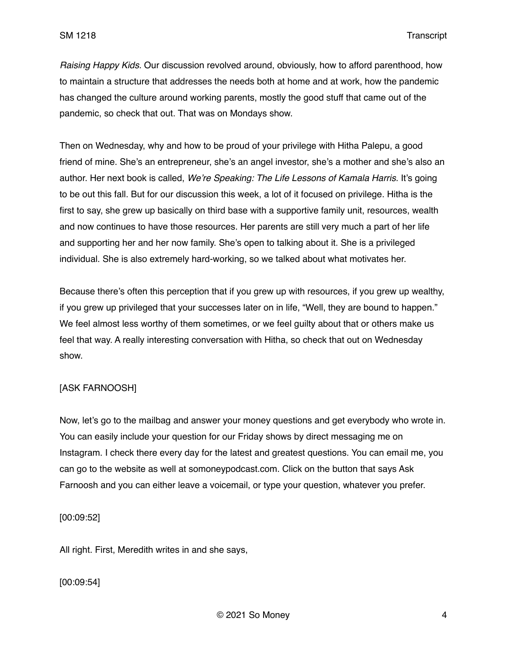*Raising Happy Kids.* Our discussion revolved around, obviously, how to afford parenthood, how to maintain a structure that addresses the needs both at home and at work, how the pandemic has changed the culture around working parents, mostly the good stuff that came out of the pandemic, so check that out. That was on Mondays show.

Then on Wednesday, why and how to be proud of your privilege with Hitha Palepu, a good friend of mine. She's an entrepreneur, she's an angel investor, she's a mother and she's also an author. Her next book is called, *We're Speaking: The Life Lessons of Kamala Harris.* It's going to be out this fall. But for our discussion this week, a lot of it focused on privilege. Hitha is the first to say, she grew up basically on third base with a supportive family unit, resources, wealth and now continues to have those resources. Her parents are still very much a part of her life and supporting her and her now family. She's open to talking about it. She is a privileged individual. She is also extremely hard-working, so we talked about what motivates her.

Because there's often this perception that if you grew up with resources, if you grew up wealthy, if you grew up privileged that your successes later on in life, "Well, they are bound to happen." We feel almost less worthy of them sometimes, or we feel guilty about that or others make us feel that way. A really interesting conversation with Hitha, so check that out on Wednesday show.

# [ASK FARNOOSH]

Now, let's go to the mailbag and answer your money questions and get everybody who wrote in. You can easily include your question for our Friday shows by direct messaging me on Instagram. I check there every day for the latest and greatest questions. You can email me, you can go to the website as well at somoneypodcast.com. Click on the button that says Ask Farnoosh and you can either leave a voicemail, or type your question, whatever you prefer.

[00:09:52]

All right. First, Meredith writes in and she says,

# [00:09:54]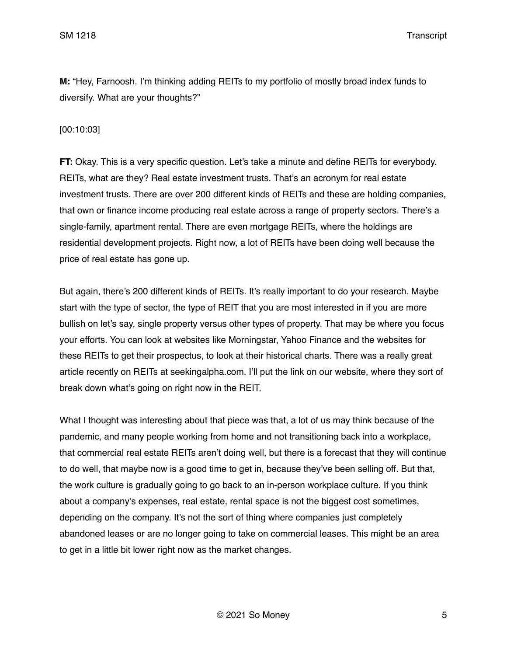**M:** "Hey, Farnoosh. I'm thinking adding REITs to my portfolio of mostly broad index funds to diversify. What are your thoughts?"

# [00:10:03]

**FT:** Okay. This is a very specific question. Let's take a minute and define REITs for everybody. REITs, what are they? Real estate investment trusts. That's an acronym for real estate investment trusts. There are over 200 different kinds of REITs and these are holding companies, that own or finance income producing real estate across a range of property sectors. There's a single-family, apartment rental. There are even mortgage REITs, where the holdings are residential development projects. Right now, a lot of REITs have been doing well because the price of real estate has gone up.

But again, there's 200 different kinds of REITs. It's really important to do your research. Maybe start with the type of sector, the type of REIT that you are most interested in if you are more bullish on let's say, single property versus other types of property. That may be where you focus your efforts. You can look at websites like Morningstar, Yahoo Finance and the websites for these REITs to get their prospectus, to look at their historical charts. There was a really great article recently on REITs at seekingalpha.com. I'll put the link on our website, where they sort of break down what's going on right now in the REIT.

What I thought was interesting about that piece was that, a lot of us may think because of the pandemic, and many people working from home and not transitioning back into a workplace, that commercial real estate REITs aren't doing well, but there is a forecast that they will continue to do well, that maybe now is a good time to get in, because they've been selling off. But that, the work culture is gradually going to go back to an in-person workplace culture. If you think about a company's expenses, real estate, rental space is not the biggest cost sometimes, depending on the company. It's not the sort of thing where companies just completely abandoned leases or are no longer going to take on commercial leases. This might be an area to get in a little bit lower right now as the market changes.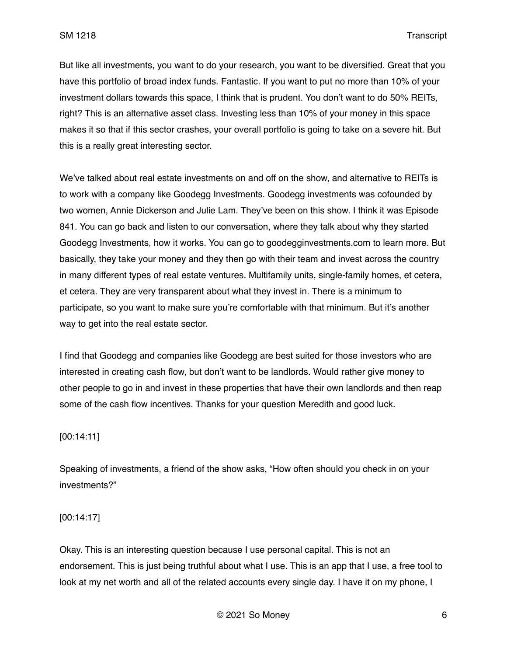But like all investments, you want to do your research, you want to be diversified. Great that you have this portfolio of broad index funds. Fantastic. If you want to put no more than 10% of your investment dollars towards this space, I think that is prudent. You don't want to do 50% REITs, right? This is an alternative asset class. Investing less than 10% of your money in this space makes it so that if this sector crashes, your overall portfolio is going to take on a severe hit. But this is a really great interesting sector.

We've talked about real estate investments on and off on the show, and alternative to REITs is to work with a company like Goodegg Investments. Goodegg investments was cofounded by two women, Annie Dickerson and Julie Lam. They've been on this show. I think it was Episode 841. You can go back and listen to our conversation, where they talk about why they started Goodegg Investments, how it works. You can go to goodegginvestments.com to learn more. But basically, they take your money and they then go with their team and invest across the country in many different types of real estate ventures. Multifamily units, single-family homes, et cetera, et cetera. They are very transparent about what they invest in. There is a minimum to participate, so you want to make sure you're comfortable with that minimum. But it's another way to get into the real estate sector.

I find that Goodegg and companies like Goodegg are best suited for those investors who are interested in creating cash flow, but don't want to be landlords. Would rather give money to other people to go in and invest in these properties that have their own landlords and then reap some of the cash flow incentives. Thanks for your question Meredith and good luck.

# [00:14:11]

Speaking of investments, a friend of the show asks, "How often should you check in on your investments?"

### [00:14:17]

Okay. This is an interesting question because I use personal capital. This is not an endorsement. This is just being truthful about what I use. This is an app that I use, a free tool to look at my net worth and all of the related accounts every single day. I have it on my phone, I

© 2021 So Money 6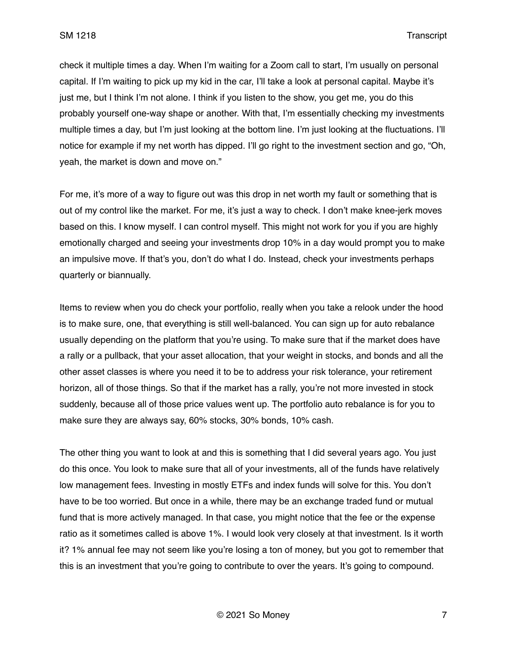check it multiple times a day. When I'm waiting for a Zoom call to start, I'm usually on personal capital. If I'm waiting to pick up my kid in the car, I'll take a look at personal capital. Maybe it's just me, but I think I'm not alone. I think if you listen to the show, you get me, you do this probably yourself one-way shape or another. With that, I'm essentially checking my investments multiple times a day, but I'm just looking at the bottom line. I'm just looking at the fluctuations. I'll notice for example if my net worth has dipped. I'll go right to the investment section and go, "Oh, yeah, the market is down and move on."

For me, it's more of a way to figure out was this drop in net worth my fault or something that is out of my control like the market. For me, it's just a way to check. I don't make knee-jerk moves based on this. I know myself. I can control myself. This might not work for you if you are highly emotionally charged and seeing your investments drop 10% in a day would prompt you to make an impulsive move. If that's you, don't do what I do. Instead, check your investments perhaps quarterly or biannually.

Items to review when you do check your portfolio, really when you take a relook under the hood is to make sure, one, that everything is still well-balanced. You can sign up for auto rebalance usually depending on the platform that you're using. To make sure that if the market does have a rally or a pullback, that your asset allocation, that your weight in stocks, and bonds and all the other asset classes is where you need it to be to address your risk tolerance, your retirement horizon, all of those things. So that if the market has a rally, you're not more invested in stock suddenly, because all of those price values went up. The portfolio auto rebalance is for you to make sure they are always say, 60% stocks, 30% bonds, 10% cash.

The other thing you want to look at and this is something that I did several years ago. You just do this once. You look to make sure that all of your investments, all of the funds have relatively low management fees. Investing in mostly ETFs and index funds will solve for this. You don't have to be too worried. But once in a while, there may be an exchange traded fund or mutual fund that is more actively managed. In that case, you might notice that the fee or the expense ratio as it sometimes called is above 1%. I would look very closely at that investment. Is it worth it? 1% annual fee may not seem like you're losing a ton of money, but you got to remember that this is an investment that you're going to contribute to over the years. It's going to compound.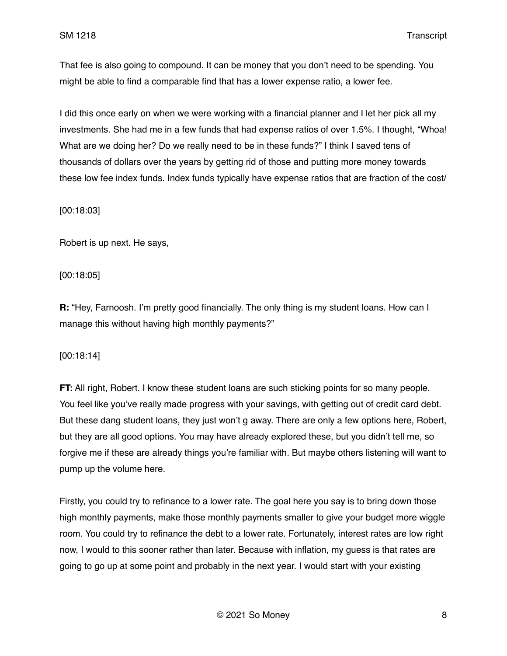That fee is also going to compound. It can be money that you don't need to be spending. You might be able to find a comparable find that has a lower expense ratio, a lower fee.

I did this once early on when we were working with a financial planner and I let her pick all my investments. She had me in a few funds that had expense ratios of over 1.5%. I thought, "Whoa! What are we doing her? Do we really need to be in these funds?" I think I saved tens of thousands of dollars over the years by getting rid of those and putting more money towards these low fee index funds. Index funds typically have expense ratios that are fraction of the cost/

### [00:18:03]

Robert is up next. He says,

# [00:18:05]

**R:** "Hey, Farnoosh. I'm pretty good financially. The only thing is my student loans. How can I manage this without having high monthly payments?"

[00:18:14]

**FT:** All right, Robert. I know these student loans are such sticking points for so many people. You feel like you've really made progress with your savings, with getting out of credit card debt. But these dang student loans, they just won't g away. There are only a few options here, Robert, but they are all good options. You may have already explored these, but you didn't tell me, so forgive me if these are already things you're familiar with. But maybe others listening will want to pump up the volume here.

Firstly, you could try to refinance to a lower rate. The goal here you say is to bring down those high monthly payments, make those monthly payments smaller to give your budget more wiggle room. You could try to refinance the debt to a lower rate. Fortunately, interest rates are low right now, I would to this sooner rather than later. Because with inflation, my guess is that rates are going to go up at some point and probably in the next year. I would start with your existing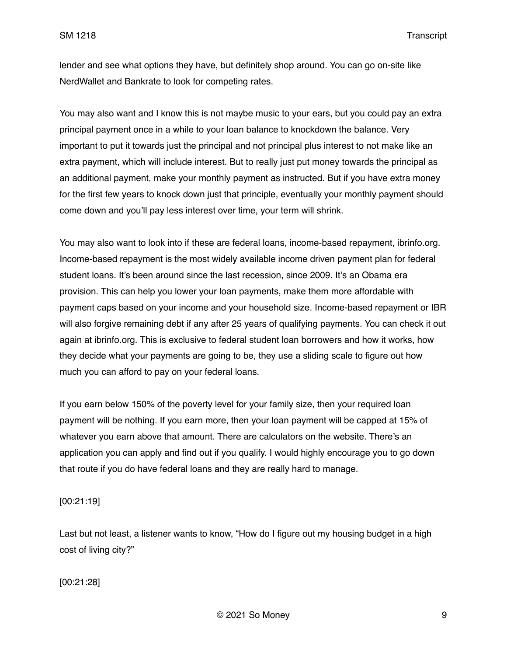lender and see what options they have, but definitely shop around. You can go on-site like NerdWallet and Bankrate to look for competing rates.

You may also want and I know this is not maybe music to your ears, but you could pay an extra principal payment once in a while to your loan balance to knockdown the balance. Very important to put it towards just the principal and not principal plus interest to not make like an extra payment, which will include interest. But to really just put money towards the principal as an additional payment, make your monthly payment as instructed. But if you have extra money for the first few years to knock down just that principle, eventually your monthly payment should come down and you'll pay less interest over time, your term will shrink.

You may also want to look into if these are federal loans, income-based repayment, ibrinfo.org. Income-based repayment is the most widely available income driven payment plan for federal student loans. It's been around since the last recession, since 2009. It's an Obama era provision. This can help you lower your loan payments, make them more affordable with payment caps based on your income and your household size. Income-based repayment or IBR will also forgive remaining debt if any after 25 years of qualifying payments. You can check it out again at ibrinfo.org. This is exclusive to federal student loan borrowers and how it works, how they decide what your payments are going to be, they use a sliding scale to figure out how much you can afford to pay on your federal loans.

If you earn below 150% of the poverty level for your family size, then your required loan payment will be nothing. If you earn more, then your loan payment will be capped at 15% of whatever you earn above that amount. There are calculators on the website. There's an application you can apply and find out if you qualify. I would highly encourage you to go down that route if you do have federal loans and they are really hard to manage.

[00:21:19]

Last but not least, a listener wants to know, "How do I figure out my housing budget in a high cost of living city?"

[00:21:28]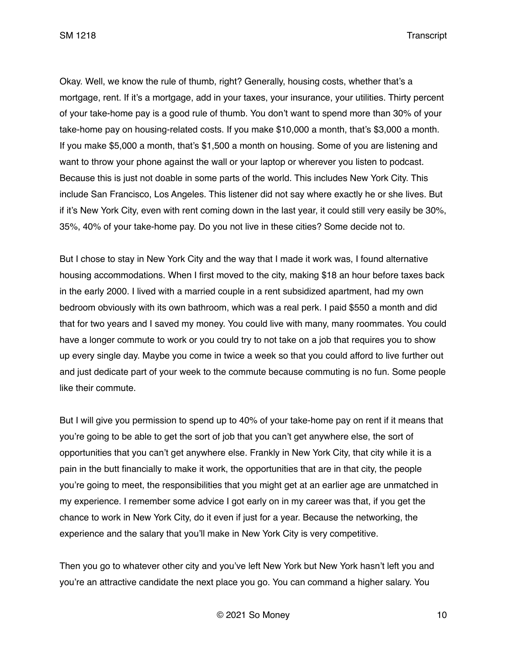Okay. Well, we know the rule of thumb, right? Generally, housing costs, whether that's a mortgage, rent. If it's a mortgage, add in your taxes, your insurance, your utilities. Thirty percent of your take-home pay is a good rule of thumb. You don't want to spend more than 30% of your take-home pay on housing-related costs. If you make \$10,000 a month, that's \$3,000 a month. If you make \$5,000 a month, that's \$1,500 a month on housing. Some of you are listening and want to throw your phone against the wall or your laptop or wherever you listen to podcast. Because this is just not doable in some parts of the world. This includes New York City. This include San Francisco, Los Angeles. This listener did not say where exactly he or she lives. But if it's New York City, even with rent coming down in the last year, it could still very easily be 30%, 35%, 40% of your take-home pay. Do you not live in these cities? Some decide not to.

But I chose to stay in New York City and the way that I made it work was, I found alternative housing accommodations. When I first moved to the city, making \$18 an hour before taxes back in the early 2000. I lived with a married couple in a rent subsidized apartment, had my own bedroom obviously with its own bathroom, which was a real perk. I paid \$550 a month and did that for two years and I saved my money. You could live with many, many roommates. You could have a longer commute to work or you could try to not take on a job that requires you to show up every single day. Maybe you come in twice a week so that you could afford to live further out and just dedicate part of your week to the commute because commuting is no fun. Some people like their commute.

But I will give you permission to spend up to 40% of your take-home pay on rent if it means that you're going to be able to get the sort of job that you can't get anywhere else, the sort of opportunities that you can't get anywhere else. Frankly in New York City, that city while it is a pain in the butt financially to make it work, the opportunities that are in that city, the people you're going to meet, the responsibilities that you might get at an earlier age are unmatched in my experience. I remember some advice I got early on in my career was that, if you get the chance to work in New York City, do it even if just for a year. Because the networking, the experience and the salary that you'll make in New York City is very competitive.

Then you go to whatever other city and you've left New York but New York hasn't left you and you're an attractive candidate the next place you go. You can command a higher salary. You